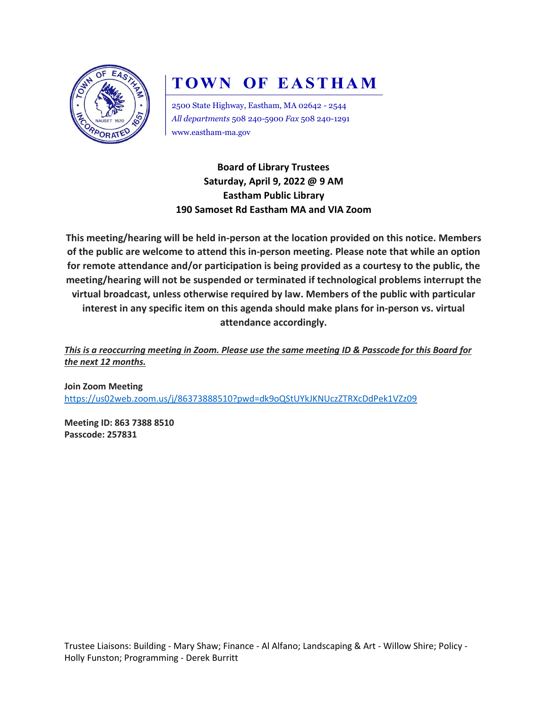

# **TOWN OF EASTHAM**

2500 State Highway, Eastham, MA 02642 - 2544 *All departments* 508 240-5900 *Fax* 508 240-1291 www.eastham-ma.gov

**Board of Library Trustees Saturday, April 9, 2022 @ 9 AM Eastham Public Library 190 Samoset Rd Eastham MA and VIA Zoom**

**This meeting/hearing will be held in-person at the location provided on this notice. Members of the public are welcome to attend this in-person meeting. Please note that while an option for remote attendance and/or participation is being provided as a courtesy to the public, the meeting/hearing will not be suspended or terminated if technological problems interrupt the virtual broadcast, unless otherwise required by law. Members of the public with particular interest in any specific item on this agenda should make plans for in-person vs. virtual attendance accordingly.**

*This is a reoccurring meeting in Zoom. Please use the same meeting ID & Passcode for this Board for the next 12 months.*

**Join Zoom Meeting** <https://us02web.zoom.us/j/86373888510?pwd=dk9oQStUYkJKNUczZTRXcDdPek1VZz09>

**Meeting ID: 863 7388 8510 Passcode: 257831**